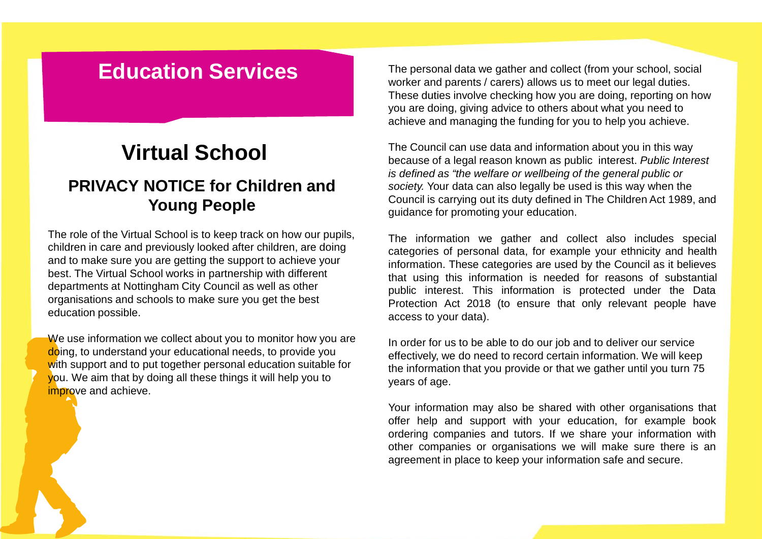## **Education Services**

## **Virtual School**

## **PRIVACY NOTICE for Children and Young People**

The role of the Virtual School is to keep track on how our pupils, children in care and previously looked after children, are doing and to make sure you are getting the support to achieve your best. The Virtual School works in partnership with different departments at Nottingham City Council as well as other organisations and schools to make sure you get the best education possible.

We use information we collect about you to monitor how you are doing, to understand your educational needs, to provide you with support and to put together personal education suitable for you. We aim that by doing all these things it will help you to improve and achieve.

The personal data we gather and collect (from your school, social worker and parents / carers) allows us to meet our legal duties. These duties involve checking how you are doing, reporting on how you are doing, giving advice to others about what you need to achieve and managing the funding for you to help you achieve.

The Council can use data and information about you in this way because of a legal reason known as public interest. *Public Interest is defined as "the welfare or wellbeing of the general public or society.* Your data can also legally be used is this way when the Council is carrying out its duty defined in The Children Act 1989, and guidance for promoting your education.

The information we gather and collect also includes special categories of personal data, for example your ethnicity and health information. These categories are used by the Council as it believes that using this information is needed for reasons of substantial public interest. This information is protected under the Data Protection Act 2018 (to ensure that only relevant people have access to your data).

In order for us to be able to do our job and to deliver our service effectively, we do need to record certain information. We will keep the information that you provide or that we gather until you turn 75 years of age.

Your information may also be shared with other organisations that offer help and support with your education, for example book ordering companies and tutors. If we share your information with other companies or organisations we will make sure there is an agreement in place to keep your information safe and secure.